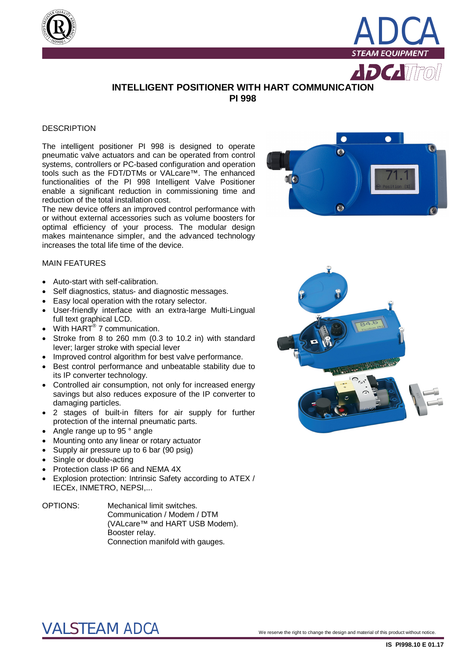



 $D$ *Califfe* 

### **INTELLIGENT POSITIONER WITH HART COMMUNICATION PI 998**

#### **DESCRIPTION**

The intelligent positioner PI 998 is designed to operate pneumatic valve actuators and can be operated from control systems, controllers or PC-based configuration and operation tools such as the FDT/DTMs or VALcare™. The enhanced functionalities of the PI 998 Intelligent Valve Positioner enable a significant reduction in commissioning time and reduction of the total installation cost.

The new device offers an improved control performance with or without external accessories such as volume boosters for optimal efficiency of your process. The modular design makes maintenance simpler, and the advanced technology increases the total life time of the device.



#### MAIN FEATURES

- Auto-start with self-calibration.
- Self diagnostics, status- and diagnostic messages.
- Easy local operation with the rotary selector.
- User-friendly interface with an extra-large Multi-Lingual full text graphical LCD.
- With HART<sup>®</sup> 7 communication.
- Stroke from 8 to 260 mm (0.3 to 10.2 in) with standard lever; larger stroke with special lever
- Improved control algorithm for best valve performance.
- Best control performance and unbeatable stability due to its IP converter technology.
- Controlled air consumption, not only for increased energy savings but also reduces exposure of the IP converter to damaging particles.
- 2 stages of built-in filters for air supply for further protection of the internal pneumatic parts.
- Angle range up to 95 ° angle
- Mounting onto any linear or rotary actuator
- Supply air pressure up to 6 bar (90 psig)
- Single or double-acting
- Protection class IP 66 and NEMA 4X
- Explosion protection: Intrinsic Safety according to ATEX / IECEx, INMETRO, NEPSI,...

#### OPTIONS: Mechanical limit switches. Communication / Modem / DTM (VALcare™ and HART USB Modem). Booster relay. Connection manifold with gauges.



## $\text{VALSTEAM}$   $\text{ADCA}$   $^\circ$  . We reserve the right to change the design and material of this product without notice.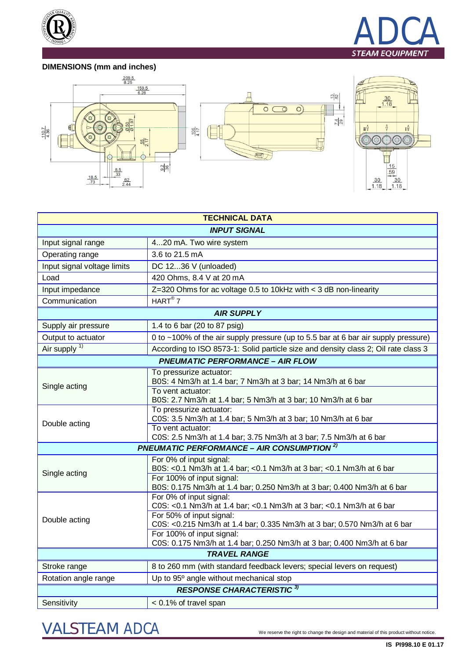



### **DIMENSIONS (mm and inches)**







| <b>TECHNICAL DATA</b>                                       |                                                                                                      |
|-------------------------------------------------------------|------------------------------------------------------------------------------------------------------|
| <b>INPUT SIGNAL</b>                                         |                                                                                                      |
| Input signal range                                          | 420 mA. Two wire system                                                                              |
| Operating range                                             | 3.6 to 21.5 mA                                                                                       |
| Input signal voltage limits                                 | DC 1236 V (unloaded)                                                                                 |
| Load                                                        | 420 Ohms, 8.4 V at 20 mA                                                                             |
| Input impedance                                             | $Z=320$ Ohms for ac voltage 0.5 to 10kHz with < 3 dB non-linearity                                   |
| Communication                                               | HART <sup>®</sup> 7                                                                                  |
| <b>AIR SUPPLY</b>                                           |                                                                                                      |
| Supply air pressure                                         | 1.4 to 6 bar (20 to 87 psig)                                                                         |
| Output to actuator                                          | 0 to ~100% of the air supply pressure (up to 5.5 bar at 6 bar air supply pressure)                   |
| Air supply <sup>1)</sup>                                    | According to ISO 8573-1: Solid particle size and density class 2; Oil rate class 3                   |
| <b>PNEUMATIC PERFORMANCE - AIR FLOW</b>                     |                                                                                                      |
| Single acting                                               | To pressurize actuator:<br>B0S: 4 Nm3/h at 1.4 bar; 7 Nm3/h at 3 bar; 14 Nm3/h at 6 bar              |
|                                                             | To vent actuator:<br>B0S: 2.7 Nm3/h at 1.4 bar; 5 Nm3/h at 3 bar; 10 Nm3/h at 6 bar                  |
| Double acting                                               | To pressurize actuator:<br>C0S: 3.5 Nm3/h at 1.4 bar; 5 Nm3/h at 3 bar; 10 Nm3/h at 6 bar            |
|                                                             | To vent actuator:<br>C0S: 2.5 Nm3/h at 1.4 bar; 3.75 Nm3/h at 3 bar; 7.5 Nm3/h at 6 bar              |
| <b>PNEUMATIC PERFORMANCE - AIR CONSUMPTION<sup>2)</sup></b> |                                                                                                      |
| Single acting                                               | For 0% of input signal:<br>B0S: <0.1 Nm3/h at 1.4 bar; <0.1 Nm3/h at 3 bar; <0.1 Nm3/h at 6 bar      |
|                                                             | For 100% of input signal:<br>B0S: 0.175 Nm3/h at 1.4 bar; 0.250 Nm3/h at 3 bar; 0.400 Nm3/h at 6 bar |
| Double acting                                               | For 0% of input signal:<br>C0S: <0.1 Nm3/h at 1.4 bar; <0.1 Nm3/h at 3 bar; <0.1 Nm3/h at 6 bar      |
|                                                             | For 50% of input signal:<br>C0S: <0.215 Nm3/h at 1.4 bar; 0.335 Nm3/h at 3 bar; 0.570 Nm3/h at 6 bar |
|                                                             | For 100% of input signal:<br>C0S: 0.175 Nm3/h at 1.4 bar; 0.250 Nm3/h at 3 bar; 0.400 Nm3/h at 6 bar |
| <b>TRAVEL RANGE</b>                                         |                                                                                                      |
| Stroke range                                                | 8 to 260 mm (with standard feedback levers; special levers on request)                               |
| Rotation angle range                                        | Up to 95° angle without mechanical stop                                                              |
| <b>RESPONSE CHARACTERISTIC 3)</b>                           |                                                                                                      |
| Sensitivity                                                 | < 0.1% of travel span                                                                                |

# VALSTEAM *ADCA* We reserve the right to change the design and material of this product without notice.